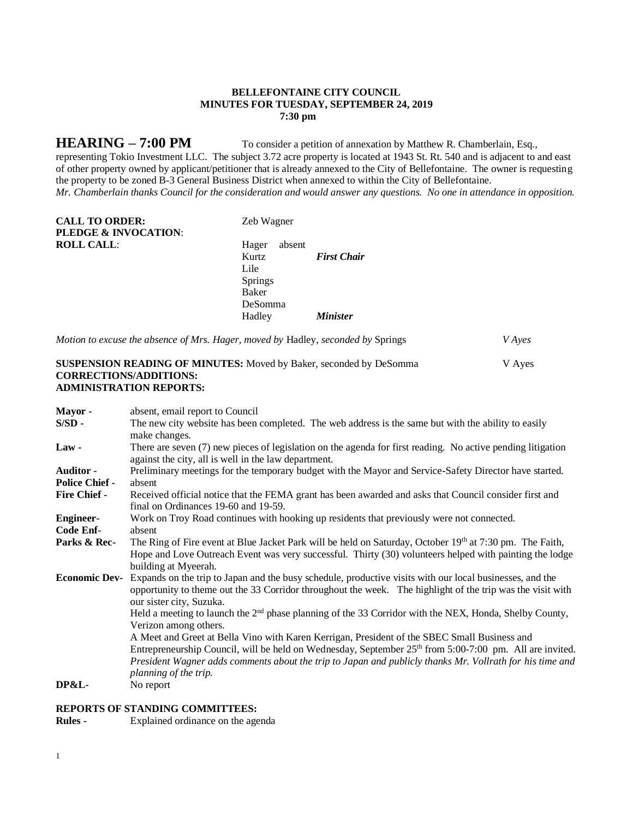# **BELLEFONTAINE CITY COUNCIL MINUTES FOR TUESDAY, SEPTEMBER 24, 2019 7:30 pm**

**HEARING – 7:00 PM** To consider a petition of annexation by Matthew R. Chamberlain, Esq.,

representing Tokio Investment LLC. The subject 3.72 acre property is located at 1943 St. Rt. 540 and is adjacent to and east of other property owned by applicant/petitioner that is already annexed to the City of Bellefontaine. The owner is requesting the property to be zoned B-3 General Business District when annexed to within the City of Bellefontaine. *Mr. Chamberlain thanks Council for the consideration and would answer any questions. No one in attendance in opposition.*

| <b>CALL TO ORDER:</b><br><b>PLEDGE &amp; INVOCATION:</b> | Zeb Wagner      |                    |
|----------------------------------------------------------|-----------------|--------------------|
| <b>ROLL CALL:</b>                                        | absent<br>Hager |                    |
|                                                          | Kurtz           | <b>First Chair</b> |
|                                                          | Lile            |                    |
|                                                          | Springs         |                    |
|                                                          | Baker           |                    |
|                                                          | DeSomma         |                    |
|                                                          | Hadley          | <b>Minister</b>    |

*Motion to excuse the absence of Mrs. Hager, moved by* Hadley, *seconded by* Springs *V Ayes*

# **SUSPENSION READING OF MINUTES:** Moved by Baker, seconded by DeSomma V Ayes **CORRECTIONS/ADDITIONS: ADMINISTRATION REPORTS:**

| Mayor -               | absent, email report to Council                                                                                                                                                                                                                    |
|-----------------------|----------------------------------------------------------------------------------------------------------------------------------------------------------------------------------------------------------------------------------------------------|
| $S/SD -$              | The new city website has been completed. The web address is the same but with the ability to easily<br>make changes.                                                                                                                               |
| $Law -$               | There are seven (7) new pieces of legislation on the agenda for first reading. No active pending litigation<br>against the city, all is well in the law department.                                                                                |
| <b>Auditor -</b>      | Preliminary meetings for the temporary budget with the Mayor and Service-Safety Director have started.                                                                                                                                             |
| <b>Police Chief -</b> | absent                                                                                                                                                                                                                                             |
| <b>Fire Chief -</b>   | Received official notice that the FEMA grant has been awarded and asks that Council consider first and<br>final on Ordinances 19-60 and 19-59.                                                                                                     |
| <b>Engineer-</b>      | Work on Troy Road continues with hooking up residents that previously were not connected.                                                                                                                                                          |
| Code Enf-             | absent                                                                                                                                                                                                                                             |
| Parks & Rec-          | The Ring of Fire event at Blue Jacket Park will be held on Saturday, October 19th at 7:30 pm. The Faith,<br>Hope and Love Outreach Event was very successful. Thirty (30) volunteers helped with painting the lodge<br>building at Myeerah.        |
| <b>Economic Dev-</b>  | Expands on the trip to Japan and the busy schedule, productive visits with our local businesses, and the<br>opportunity to theme out the 33 Corridor throughout the week. The highlight of the trip was the visit with<br>our sister city, Suzuka. |
|                       | Held a meeting to launch the 2 <sup>nd</sup> phase planning of the 33 Corridor with the NEX, Honda, Shelby County,<br>Verizon among others.                                                                                                        |
|                       | A Meet and Greet at Bella Vino with Karen Kerrigan, President of the SBEC Small Business and                                                                                                                                                       |
|                       | Entrepreneurship Council, will be held on Wednesday, September 25 <sup>th</sup> from 5:00-7:00 pm. All are invited.                                                                                                                                |
|                       | President Wagner adds comments about the trip to Japan and publicly thanks Mr. Vollrath for his time and<br>planning of the trip.                                                                                                                  |
| <b>DP&amp;L-</b>      | No report                                                                                                                                                                                                                                          |

# **REPORTS OF STANDING COMMITTEES:**

**Rules -** Explained ordinance on the agenda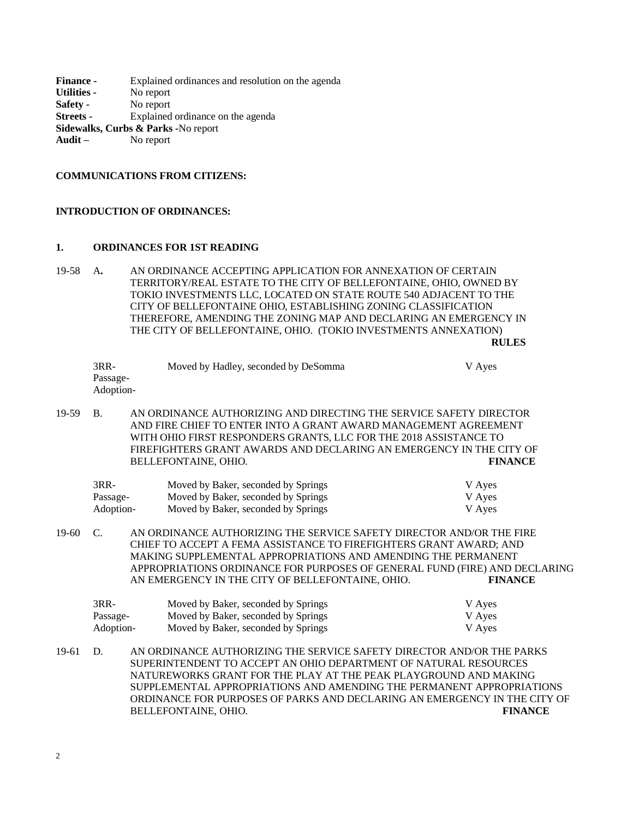| <b>Finance -</b>   | Explained ordinances and resolution on the agenda |
|--------------------|---------------------------------------------------|
| <b>Utilities -</b> | No report                                         |
| Safety -           | No report                                         |
| Streets -          | Explained ordinance on the agenda                 |
|                    | Sidewalks, Curbs & Parks -No report               |
| Audit $-$          | No report                                         |
|                    |                                                   |

#### **COMMUNICATIONS FROM CITIZENS:**

### **INTRODUCTION OF ORDINANCES:**

## **1. ORDINANCES FOR 1ST READING**

19-58 A**.** AN ORDINANCE ACCEPTING APPLICATION FOR ANNEXATION OF CERTAIN TERRITORY/REAL ESTATE TO THE CITY OF BELLEFONTAINE, OHIO, OWNED BY TOKIO INVESTMENTS LLC, LOCATED ON STATE ROUTE 540 ADJACENT TO THE CITY OF BELLEFONTAINE OHIO, ESTABLISHING ZONING CLASSIFICATION THEREFORE, AMENDING THE ZONING MAP AND DECLARING AN EMERGENCY IN THE CITY OF BELLEFONTAINE, OHIO. (TOKIO INVESTMENTS ANNEXATION)

**RULES**

| $3RR-$    | Moved by Hadley, seconded by DeSomma | V Ayes |
|-----------|--------------------------------------|--------|
| Passage-  |                                      |        |
| Adoption- |                                      |        |
|           |                                      |        |
| $\sim$    |                                      |        |

19-59 B. AN ORDINANCE AUTHORIZING AND DIRECTING THE SERVICE SAFETY DIRECTOR AND FIRE CHIEF TO ENTER INTO A GRANT AWARD MANAGEMENT AGREEMENT WITH OHIO FIRST RESPONDERS GRANTS, LLC FOR THE 2018 ASSISTANCE TO FIREFIGHTERS GRANT AWARDS AND DECLARING AN EMERGENCY IN THE CITY OF BELLEFONTAINE, OHIO. **FINANCE**

| $3RR-$    | Moved by Baker, seconded by Springs | V Ayes |
|-----------|-------------------------------------|--------|
| Passage-  | Moved by Baker, seconded by Springs | V Ayes |
| Adoption- | Moved by Baker, seconded by Springs | V Aves |

19-60 C. AN ORDINANCE AUTHORIZING THE SERVICE SAFETY DIRECTOR AND/OR THE FIRE CHIEF TO ACCEPT A FEMA ASSISTANCE TO FIREFIGHTERS GRANT AWARD; AND MAKING SUPPLEMENTAL APPROPRIATIONS AND AMENDING THE PERMANENT APPROPRIATIONS ORDINANCE FOR PURPOSES OF GENERAL FUND (FIRE) AND DECLARING AN EMERGENCY IN THE CITY OF BELLEFONTAINE, OHIO. **FINANCE**

| 3RR-      | Moved by Baker, seconded by Springs | V Aves |
|-----------|-------------------------------------|--------|
| Passage-  | Moved by Baker, seconded by Springs | V Ayes |
| Adoption- | Moved by Baker, seconded by Springs | V Aves |

19-61 D. AN ORDINANCE AUTHORIZING THE SERVICE SAFETY DIRECTOR AND/OR THE PARKS SUPERINTENDENT TO ACCEPT AN OHIO DEPARTMENT OF NATURAL RESOURCES NATUREWORKS GRANT FOR THE PLAY AT THE PEAK PLAYGROUND AND MAKING SUPPLEMENTAL APPROPRIATIONS AND AMENDING THE PERMANENT APPROPRIATIONS ORDINANCE FOR PURPOSES OF PARKS AND DECLARING AN EMERGENCY IN THE CITY OF BELLEFONTAINE, OHIO. **FINANCE**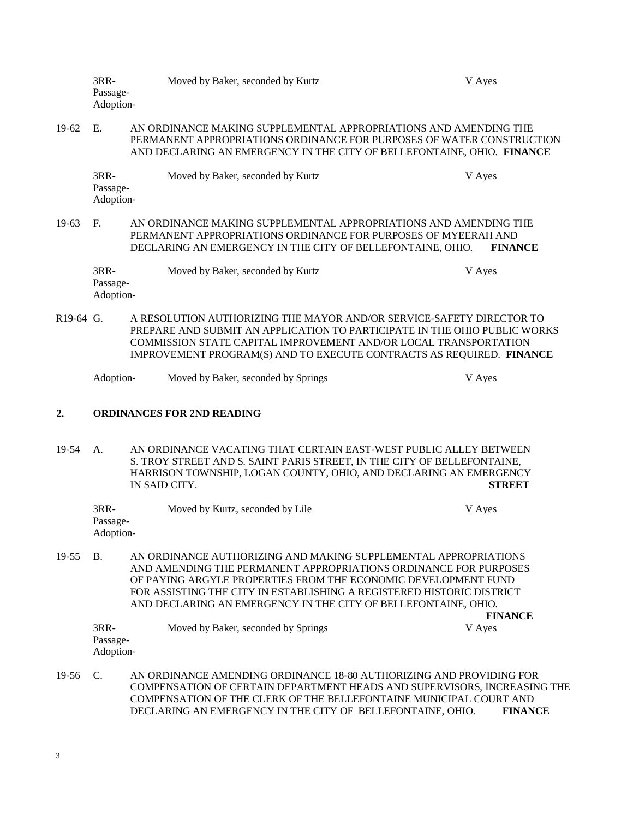| 3RR-                  | Moved by Baker, seconded by Kurtz | V Aves |
|-----------------------|-----------------------------------|--------|
| Passage-<br>Adoption- |                                   |        |
| $\sim$                |                                   |        |

19-62 E. AN ORDINANCE MAKING SUPPLEMENTAL APPROPRIATIONS AND AMENDING THE PERMANENT APPROPRIATIONS ORDINANCE FOR PURPOSES OF WATER CONSTRUCTION AND DECLARING AN EMERGENCY IN THE CITY OF BELLEFONTAINE, OHIO. **FINANCE**

| 3RR-      | Moved by Baker, seconded by Kurtz | V Aves |
|-----------|-----------------------------------|--------|
| Passage-  |                                   |        |
| Adoption- |                                   |        |
|           |                                   |        |

19-63 F. AN ORDINANCE MAKING SUPPLEMENTAL APPROPRIATIONS AND AMENDING THE PERMANENT APPROPRIATIONS ORDINANCE FOR PURPOSES OF MYEERAH AND DECLARING AN EMERGENCY IN THE CITY OF BELLEFONTAINE, OHIO. **FINANCE**

| $3RR-$    | Moved by Baker, seconded by Kurtz | V Ayes |
|-----------|-----------------------------------|--------|
| Passage-  |                                   |        |
| Adoption- |                                   |        |

R19-64 G. A RESOLUTION AUTHORIZING THE MAYOR AND/OR SERVICE-SAFETY DIRECTOR TO PREPARE AND SUBMIT AN APPLICATION TO PARTICIPATE IN THE OHIO PUBLIC WORKS COMMISSION STATE CAPITAL IMPROVEMENT AND/OR LOCAL TRANSPORTATION IMPROVEMENT PROGRAM(S) AND TO EXECUTE CONTRACTS AS REQUIRED. **FINANCE**

| Adoption- | Moved by Baker, seconded by Springs | V Aves |
|-----------|-------------------------------------|--------|
|-----------|-------------------------------------|--------|

## **2. ORDINANCES FOR 2ND READING**

19-54 A. AN ORDINANCE VACATING THAT CERTAIN EAST-WEST PUBLIC ALLEY BETWEEN S. TROY STREET AND S. SAINT PARIS STREET, IN THE CITY OF BELLEFONTAINE, HARRISON TOWNSHIP, LOGAN COUNTY, OHIO, AND DECLARING AN EMERGENCY IN SAID CITY. **STREET**

| 3RR-      | Moved by Kurtz, seconded by Lile | V Aves |
|-----------|----------------------------------|--------|
| Passage-  |                                  |        |
| Adoption- |                                  |        |

19-55 B. AN ORDINANCE AUTHORIZING AND MAKING SUPPLEMENTAL APPROPRIATIONS AND AMENDING THE PERMANENT APPROPRIATIONS ORDINANCE FOR PURPOSES OF PAYING ARGYLE PROPERTIES FROM THE ECONOMIC DEVELOPMENT FUND FOR ASSISTING THE CITY IN ESTABLISHING A REGISTERED HISTORIC DISTRICT AND DECLARING AN EMERGENCY IN THE CITY OF BELLEFONTAINE, OHIO.

3RR- Moved by Baker, seconded by Springs V Ayes Passage-Adoption-

**FINANCE**

19-56 C. AN ORDINANCE AMENDING ORDINANCE 18-80 AUTHORIZING AND PROVIDING FOR COMPENSATION OF CERTAIN DEPARTMENT HEADS AND SUPERVISORS, INCREASING THE COMPENSATION OF THE CLERK OF THE BELLEFONTAINE MUNICIPAL COURT AND DECLARING AN EMERGENCY IN THE CITY OF BELLEFONTAINE, OHIO. **FINANCE**